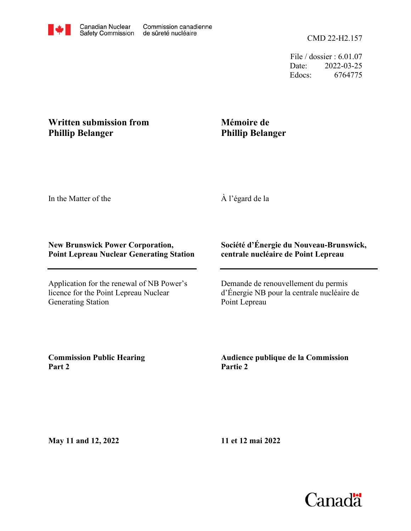File / dossier : 6.01.07 Date: 2022-03-25 Edocs: 6764775

## **Phillip Belanger Written submission from**

## **Mémoire de Phillip Belanger**

In the Matter of the

À l'égard de la

## **New Brunswick Power Corporation, Point Lepreau Nuclear Generating Station**

Application for the renewal of NB Power's licence for the Point Lepreau Nuclear Generating Station

## **Société d'Énergie du Nouveau-Brunswick, centrale nucléaire de Point Lepreau**

Demande de renouvellement du permis d'Énergie NB pour la centrale nucléaire de Point Lepreau

**Commission Public Hearing Part 2**

**Audience publique de la Commission Partie 2**

**May 11 and 12, 2022**

**11 et 12 mai 2022**